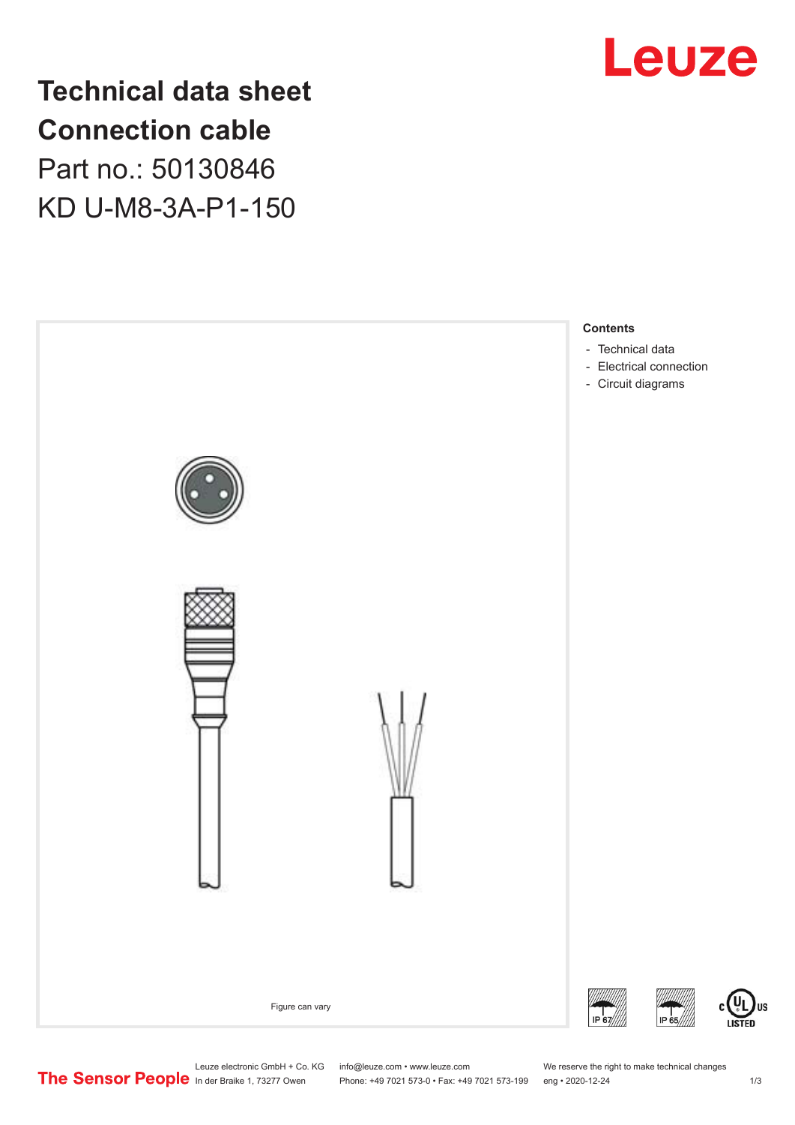

**Technical data sheet Connection cable** Part no.: 50130846 KD U-M8-3A-P1-150



Leuze electronic GmbH + Co. KG info@leuze.com • www.leuze.com We reserve the right to make technical changes<br>
The Sensor People in der Braike 1, 73277 Owen Phone: +49 7021 573-0 • Fax: +49 7021 573-199 eng • 2020-12-24

Phone: +49 7021 573-0 • Fax: +49 7021 573-199 eng • 2020-12-24 1 2020-12-24

US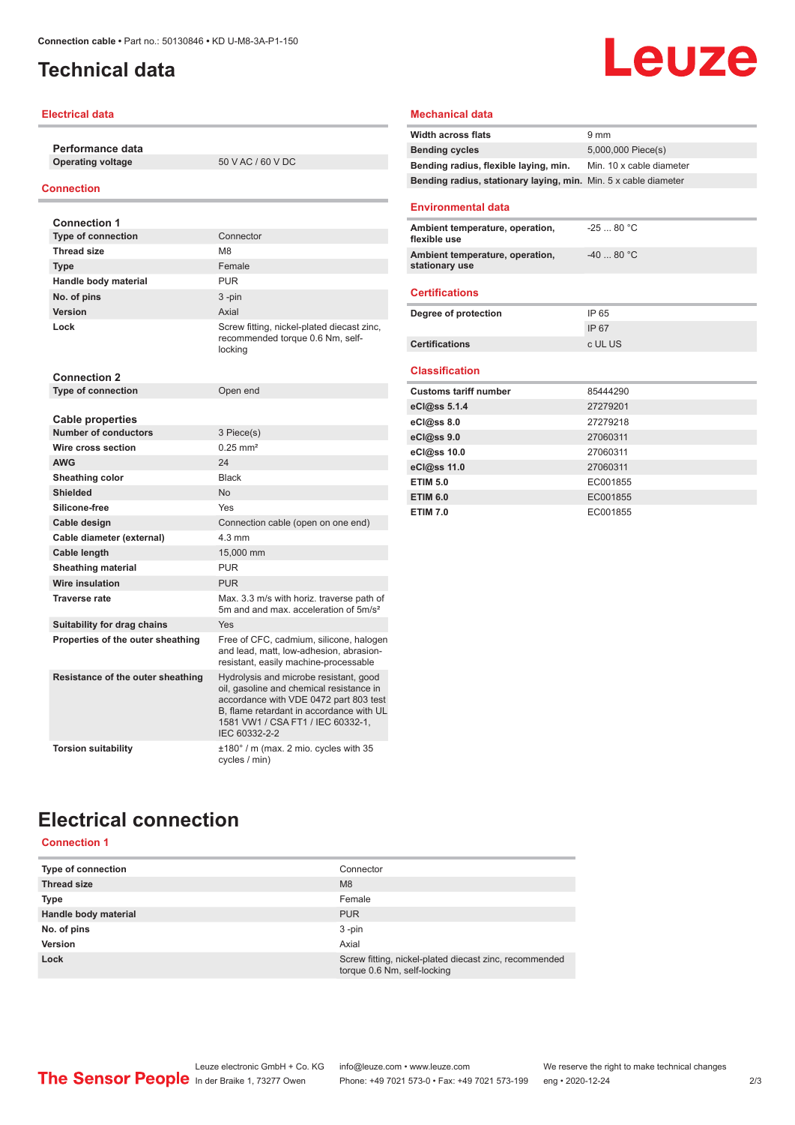## <span id="page-1-0"></span>**Technical data**

### **Electrical data**

**Performance data Operating voltage** 50 V AC / 60 V DC

### **Connection**

| <b>Connection 1</b>               |                                                                                                                                                                                                                                |
|-----------------------------------|--------------------------------------------------------------------------------------------------------------------------------------------------------------------------------------------------------------------------------|
| <b>Type of connection</b>         | Connector                                                                                                                                                                                                                      |
| <b>Thread size</b>                | M <sub>8</sub>                                                                                                                                                                                                                 |
| <b>Type</b>                       | Female                                                                                                                                                                                                                         |
| Handle body material              | <b>PUR</b>                                                                                                                                                                                                                     |
| No. of pins                       | $3 - pin$                                                                                                                                                                                                                      |
| Version                           | Axial                                                                                                                                                                                                                          |
| Lock                              | Screw fitting, nickel-plated diecast zinc,<br>recommended torque 0.6 Nm, self-<br>locking                                                                                                                                      |
| <b>Connection 2</b>               |                                                                                                                                                                                                                                |
| <b>Type of connection</b>         | Open end                                                                                                                                                                                                                       |
| <b>Cable properties</b>           |                                                                                                                                                                                                                                |
| <b>Number of conductors</b>       | 3 Piece(s)                                                                                                                                                                                                                     |
| Wire cross section                | $0.25$ mm <sup>2</sup>                                                                                                                                                                                                         |
| <b>AWG</b>                        | 24                                                                                                                                                                                                                             |
| Sheathing color                   | <b>Black</b>                                                                                                                                                                                                                   |
| <b>Shielded</b>                   | No                                                                                                                                                                                                                             |
| Silicone-free                     | Yes                                                                                                                                                                                                                            |
| Cable design                      | Connection cable (open on one end)                                                                                                                                                                                             |
| Cable diameter (external)         | $4.3 \text{ mm}$                                                                                                                                                                                                               |
| Cable length                      | 15,000 mm                                                                                                                                                                                                                      |
| <b>Sheathing material</b>         | <b>PUR</b>                                                                                                                                                                                                                     |
| Wire insulation                   | <b>PUR</b>                                                                                                                                                                                                                     |
| <b>Traverse rate</b>              | Max. 3.3 m/s with horiz. traverse path of<br>5m and and max, acceleration of 5m/s <sup>2</sup>                                                                                                                                 |
| Suitability for drag chains       | Yes                                                                                                                                                                                                                            |
| Properties of the outer sheathing | Free of CFC, cadmium, silicone, halogen<br>and lead, matt, low-adhesion, abrasion-<br>resistant, easily machine-processable                                                                                                    |
| Resistance of the outer sheathing | Hydrolysis and microbe resistant, good<br>oil, gasoline and chemical resistance in<br>accordance with VDE 0472 part 803 test<br>B, flame retardant in accordance with UL<br>1581 VW1 / CSA FT1 / IEC 60332-1,<br>IEC 60332-2-2 |
| <b>Torsion suitability</b>        | ±180° / m (max. 2 mio. cycles with 35<br>cycles / min)                                                                                                                                                                         |

### **Mechanical data**

| <b>Width across flats</b>                                       | $9 \text{ mm}$           |
|-----------------------------------------------------------------|--------------------------|
| <b>Bending cycles</b>                                           | 5,000,000 Piece(s)       |
| Bending radius, flexible laying, min.                           | Min. 10 x cable diameter |
| Bending radius, stationary laying, min. Min. 5 x cable diameter |                          |
|                                                                 |                          |
| <b>Environmental data</b>                                       |                          |
| Ambient temperature, operation,<br>flexible use                 | $-2580 °C$               |
| Ambient temperature, operation,<br>stationary use               | $-4080 °C$               |
| <b>Certifications</b>                                           |                          |
| Degree of protection                                            | IP 65                    |
|                                                                 | IP 67                    |
| <b>Certifications</b>                                           | c UL US                  |
|                                                                 |                          |
| <b>Classification</b>                                           |                          |
| <b>Customs tariff number</b>                                    | 85444290                 |
| eCl@ss $5.1.4$                                                  | 27279201                 |
| $eC/\omega$ ss 8.0                                              | 27279218                 |
| eCl@ss 9.0                                                      | 27060311                 |
| eCl@ss 10.0                                                     | 27060311                 |
| eCl@ss 11.0                                                     | 27060311                 |
| <b>ETIM 5.0</b>                                                 | EC001855                 |
| <b>ETIM 6.0</b>                                                 | EC001855                 |
| <b>ETIM 7.0</b>                                                 | EC001855                 |

**Leuze** 

# **Electrical connection**

**Connection 1**

| Type of connection   | Connector                                                                             |
|----------------------|---------------------------------------------------------------------------------------|
| <b>Thread size</b>   | M <sub>8</sub>                                                                        |
| Type                 | Female                                                                                |
| Handle body material | <b>PUR</b>                                                                            |
| No. of pins          | $3 - pin$                                                                             |
| <b>Version</b>       | Axial                                                                                 |
| Lock                 | Screw fitting, nickel-plated diecast zinc, recommended<br>torque 0.6 Nm, self-locking |